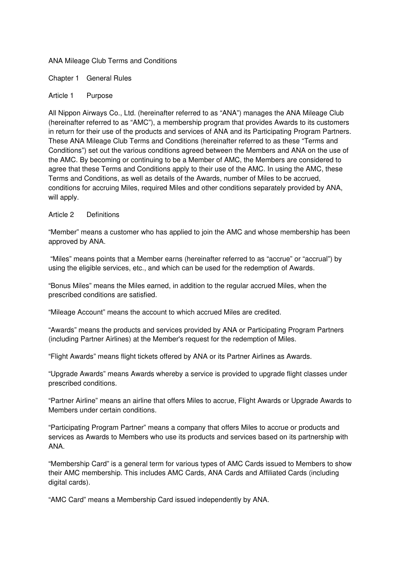### ANA Mileage Club Terms and Conditions

Chapter 1 General Rules

### Article 1 Purpose

All Nippon Airways Co., Ltd. (hereinafter referred to as "ANA") manages the ANA Mileage Club (hereinafter referred to as "AMC"), a membership program that provides Awards to its customers in return for their use of the products and services of ANA and its Participating Program Partners. These ANA Mileage Club Terms and Conditions (hereinafter referred to as these "Terms and Conditions") set out the various conditions agreed between the Members and ANA on the use of the AMC. By becoming or continuing to be a Member of AMC, the Members are considered to agree that these Terms and Conditions apply to their use of the AMC. In using the AMC, these Terms and Conditions, as well as details of the Awards, number of Miles to be accrued, conditions for accruing Miles, required Miles and other conditions separately provided by ANA, will apply.

### Article 2 Definitions

"Member" means a customer who has applied to join the AMC and whose membership has been approved by ANA.

 "Miles" means points that a Member earns (hereinafter referred to as "accrue" or "accrual") by using the eligible services, etc., and which can be used for the redemption of Awards.

"Bonus Miles" means the Miles earned, in addition to the regular accrued Miles, when the prescribed conditions are satisfied.

"Mileage Account" means the account to which accrued Miles are credited.

"Awards" means the products and services provided by ANA or Participating Program Partners (including Partner Airlines) at the Member's request for the redemption of Miles.

"Flight Awards" means flight tickets offered by ANA or its Partner Airlines as Awards.

"Upgrade Awards" means Awards whereby a service is provided to upgrade flight classes under prescribed conditions.

"Partner Airline" means an airline that offers Miles to accrue, Flight Awards or Upgrade Awards to Members under certain conditions.

"Participating Program Partner" means a company that offers Miles to accrue or products and services as Awards to Members who use its products and services based on its partnership with ANA.

"Membership Card" is a general term for various types of AMC Cards issued to Members to show their AMC membership. This includes AMC Cards, ANA Cards and Affiliated Cards (including digital cards).

"AMC Card" means a Membership Card issued independently by ANA.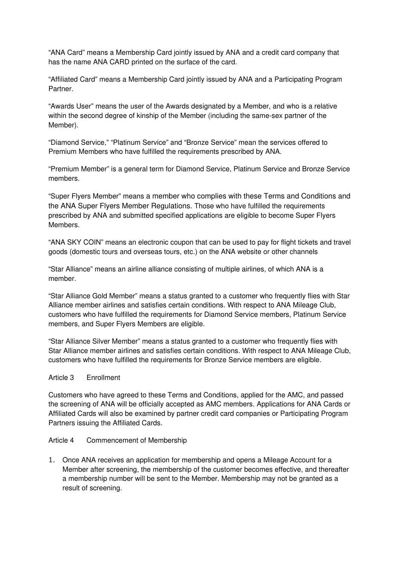"ANA Card" means a Membership Card jointly issued by ANA and a credit card company that has the name ANA CARD printed on the surface of the card.

"Affiliated Card" means a Membership Card jointly issued by ANA and a Participating Program Partner.

"Awards User" means the user of the Awards designated by a Member, and who is a relative within the second degree of kinship of the Member (including the same-sex partner of the Member).

"Diamond Service," "Platinum Service" and "Bronze Service" mean the services offered to Premium Members who have fulfilled the requirements prescribed by ANA.

"Premium Member" is a general term for Diamond Service, Platinum Service and Bronze Service members.

"Super Flyers Member" means a member who complies with these Terms and Conditions and the ANA Super Flyers Member Regulations. Those who have fulfilled the requirements prescribed by ANA and submitted specified applications are eligible to become Super Flyers Members.

"ANA SKY COIN" means an electronic coupon that can be used to pay for flight tickets and travel goods (domestic tours and overseas tours, etc.) on the ANA website or other channels

"Star Alliance" means an airline alliance consisting of multiple airlines, of which ANA is a member.

"Star Alliance Gold Member" means a status granted to a customer who frequently flies with Star Alliance member airlines and satisfies certain conditions. With respect to ANA Mileage Club, customers who have fulfilled the requirements for Diamond Service members, Platinum Service members, and Super Flyers Members are eligible.

"Star Alliance Silver Member" means a status granted to a customer who frequently flies with Star Alliance member airlines and satisfies certain conditions. With respect to ANA Mileage Club, customers who have fulfilled the requirements for Bronze Service members are eligible.

#### Article 3 Enrollment

Customers who have agreed to these Terms and Conditions, applied for the AMC, and passed the screening of ANA will be officially accepted as AMC members. Applications for ANA Cards or Affiliated Cards will also be examined by partner credit card companies or Participating Program Partners issuing the Affiliated Cards.

#### Article 4 Commencement of Membership

1. Once ANA receives an application for membership and opens a Mileage Account for a Member after screening, the membership of the customer becomes effective, and thereafter a membership number will be sent to the Member. Membership may not be granted as a result of screening.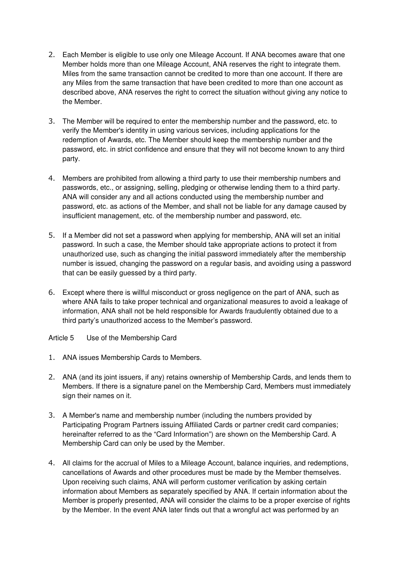- 2. Each Member is eligible to use only one Mileage Account. If ANA becomes aware that one Member holds more than one Mileage Account, ANA reserves the right to integrate them. Miles from the same transaction cannot be credited to more than one account. If there are any Miles from the same transaction that have been credited to more than one account as described above, ANA reserves the right to correct the situation without giving any notice to the Member.
- 3. The Member will be required to enter the membership number and the password, etc. to verify the Member's identity in using various services, including applications for the redemption of Awards, etc. The Member should keep the membership number and the password, etc. in strict confidence and ensure that they will not become known to any third party.
- 4. Members are prohibited from allowing a third party to use their membership numbers and passwords, etc., or assigning, selling, pledging or otherwise lending them to a third party. ANA will consider any and all actions conducted using the membership number and password, etc. as actions of the Member, and shall not be liable for any damage caused by insufficient management, etc. of the membership number and password, etc.
- 5. If a Member did not set a password when applying for membership, ANA will set an initial password. In such a case, the Member should take appropriate actions to protect it from unauthorized use, such as changing the initial password immediately after the membership number is issued, changing the password on a regular basis, and avoiding using a password that can be easily guessed by a third party.
- 6. Except where there is willful misconduct or gross negligence on the part of ANA, such as where ANA fails to take proper technical and organizational measures to avoid a leakage of information, ANA shall not be held responsible for Awards fraudulently obtained due to a third party's unauthorized access to the Member's password.
- Article 5 Use of the Membership Card
- 1. ANA issues Membership Cards to Members.
- 2. ANA (and its joint issuers, if any) retains ownership of Membership Cards, and lends them to Members. If there is a signature panel on the Membership Card, Members must immediately sign their names on it.
- 3. A Member's name and membership number (including the numbers provided by Participating Program Partners issuing Affiliated Cards or partner credit card companies; hereinafter referred to as the "Card Information") are shown on the Membership Card. A Membership Card can only be used by the Member.
- 4. All claims for the accrual of Miles to a Mileage Account, balance inquiries, and redemptions, cancellations of Awards and other procedures must be made by the Member themselves. Upon receiving such claims, ANA will perform customer verification by asking certain information about Members as separately specified by ANA. If certain information about the Member is properly presented, ANA will consider the claims to be a proper exercise of rights by the Member. In the event ANA later finds out that a wrongful act was performed by an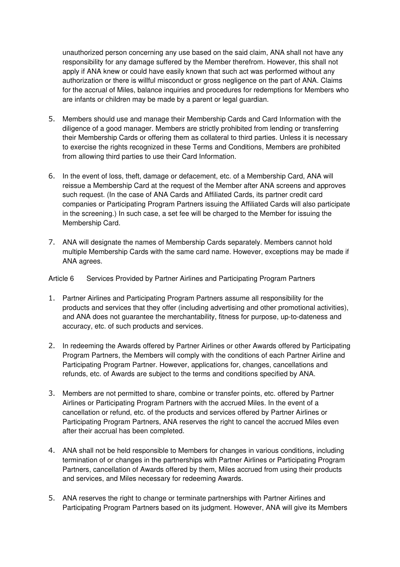unauthorized person concerning any use based on the said claim, ANA shall not have any responsibility for any damage suffered by the Member therefrom. However, this shall not apply if ANA knew or could have easily known that such act was performed without any authorization or there is willful misconduct or gross negligence on the part of ANA. Claims for the accrual of Miles, balance inquiries and procedures for redemptions for Members who are infants or children may be made by a parent or legal guardian.

- 5. Members should use and manage their Membership Cards and Card Information with the diligence of a good manager. Members are strictly prohibited from lending or transferring their Membership Cards or offering them as collateral to third parties. Unless it is necessary to exercise the rights recognized in these Terms and Conditions, Members are prohibited from allowing third parties to use their Card Information.
- 6. In the event of loss, theft, damage or defacement, etc. of a Membership Card, ANA will reissue a Membership Card at the request of the Member after ANA screens and approves such request. (In the case of ANA Cards and Affiliated Cards, its partner credit card companies or Participating Program Partners issuing the Affiliated Cards will also participate in the screening.) In such case, a set fee will be charged to the Member for issuing the Membership Card.
- 7. ANA will designate the names of Membership Cards separately. Members cannot hold multiple Membership Cards with the same card name. However, exceptions may be made if ANA agrees.

# Article 6 Services Provided by Partner Airlines and Participating Program Partners

- 1. Partner Airlines and Participating Program Partners assume all responsibility for the products and services that they offer (including advertising and other promotional activities), and ANA does not guarantee the merchantability, fitness for purpose, up-to-dateness and accuracy, etc. of such products and services.
- 2. In redeeming the Awards offered by Partner Airlines or other Awards offered by Participating Program Partners, the Members will comply with the conditions of each Partner Airline and Participating Program Partner. However, applications for, changes, cancellations and refunds, etc. of Awards are subject to the terms and conditions specified by ANA.
- 3. Members are not permitted to share, combine or transfer points, etc. offered by Partner Airlines or Participating Program Partners with the accrued Miles. In the event of a cancellation or refund, etc. of the products and services offered by Partner Airlines or Participating Program Partners, ANA reserves the right to cancel the accrued Miles even after their accrual has been completed.
- 4. ANA shall not be held responsible to Members for changes in various conditions, including termination of or changes in the partnerships with Partner Airlines or Participating Program Partners, cancellation of Awards offered by them, Miles accrued from using their products and services, and Miles necessary for redeeming Awards.
- 5. ANA reserves the right to change or terminate partnerships with Partner Airlines and Participating Program Partners based on its judgment. However, ANA will give its Members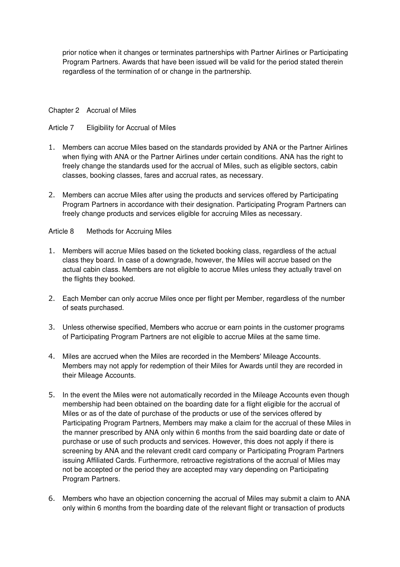prior notice when it changes or terminates partnerships with Partner Airlines or Participating Program Partners. Awards that have been issued will be valid for the period stated therein regardless of the termination of or change in the partnership.

### Chapter 2 Accrual of Miles

### Article 7 Eligibility for Accrual of Miles

- 1. Members can accrue Miles based on the standards provided by ANA or the Partner Airlines when flying with ANA or the Partner Airlines under certain conditions. ANA has the right to freely change the standards used for the accrual of Miles, such as eligible sectors, cabin classes, booking classes, fares and accrual rates, as necessary.
- 2. Members can accrue Miles after using the products and services offered by Participating Program Partners in accordance with their designation. Participating Program Partners can freely change products and services eligible for accruing Miles as necessary.

### Article 8 Methods for Accruing Miles

- 1. Members will accrue Miles based on the ticketed booking class, regardless of the actual class they board. In case of a downgrade, however, the Miles will accrue based on the actual cabin class. Members are not eligible to accrue Miles unless they actually travel on the flights they booked.
- 2. Each Member can only accrue Miles once per flight per Member, regardless of the number of seats purchased.
- 3. Unless otherwise specified, Members who accrue or earn points in the customer programs of Participating Program Partners are not eligible to accrue Miles at the same time.
- 4. Miles are accrued when the Miles are recorded in the Members' Mileage Accounts. Members may not apply for redemption of their Miles for Awards until they are recorded in their Mileage Accounts.
- 5. In the event the Miles were not automatically recorded in the Mileage Accounts even though membership had been obtained on the boarding date for a flight eligible for the accrual of Miles or as of the date of purchase of the products or use of the services offered by Participating Program Partners, Members may make a claim for the accrual of these Miles in the manner prescribed by ANA only within 6 months from the said boarding date or date of purchase or use of such products and services. However, this does not apply if there is screening by ANA and the relevant credit card company or Participating Program Partners issuing Affiliated Cards. Furthermore, retroactive registrations of the accrual of Miles may not be accepted or the period they are accepted may vary depending on Participating Program Partners.
- 6. Members who have an objection concerning the accrual of Miles may submit a claim to ANA only within 6 months from the boarding date of the relevant flight or transaction of products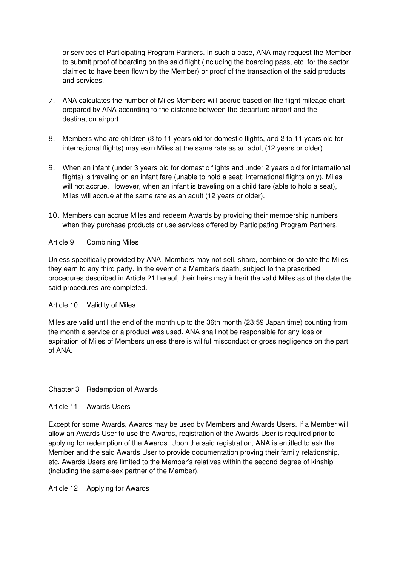or services of Participating Program Partners. In such a case, ANA may request the Member to submit proof of boarding on the said flight (including the boarding pass, etc. for the sector claimed to have been flown by the Member) or proof of the transaction of the said products and services.

- 7. ANA calculates the number of Miles Members will accrue based on the flight mileage chart prepared by ANA according to the distance between the departure airport and the destination airport.
- 8. Members who are children (3 to 11 years old for domestic flights, and 2 to 11 years old for international flights) may earn Miles at the same rate as an adult (12 years or older).
- 9. When an infant (under 3 years old for domestic flights and under 2 years old for international flights) is traveling on an infant fare (unable to hold a seat; international flights only), Miles will not accrue. However, when an infant is traveling on a child fare (able to hold a seat), Miles will accrue at the same rate as an adult (12 years or older).
- 10. Members can accrue Miles and redeem Awards by providing their membership numbers when they purchase products or use services offered by Participating Program Partners.

# Article 9 Combining Miles

Unless specifically provided by ANA, Members may not sell, share, combine or donate the Miles they earn to any third party. In the event of a Member's death, subject to the prescribed procedures described in Article 21 hereof, their heirs may inherit the valid Miles as of the date the said procedures are completed.

Article 10 Validity of Miles

Miles are valid until the end of the month up to the 36th month (23:59 Japan time) counting from the month a service or a product was used. ANA shall not be responsible for any loss or expiration of Miles of Members unless there is willful misconduct or gross negligence on the part of ANA.

# Chapter 3 Redemption of Awards

Article 11 Awards Users

Except for some Awards, Awards may be used by Members and Awards Users. If a Member will allow an Awards User to use the Awards, registration of the Awards User is required prior to applying for redemption of the Awards. Upon the said registration, ANA is entitled to ask the Member and the said Awards User to provide documentation proving their family relationship, etc. Awards Users are limited to the Member's relatives within the second degree of kinship (including the same-sex partner of the Member).

Article 12 Applying for Awards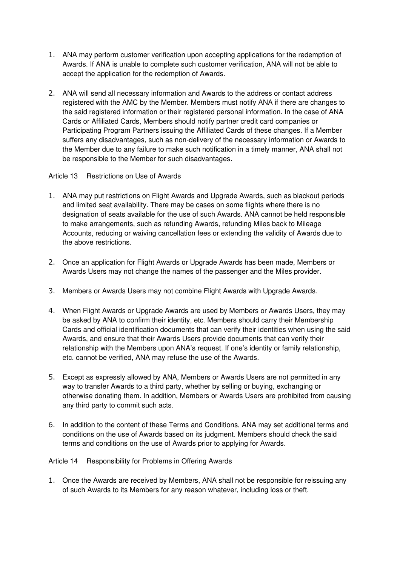- 1. ANA may perform customer verification upon accepting applications for the redemption of Awards. If ANA is unable to complete such customer verification, ANA will not be able to accept the application for the redemption of Awards.
- 2. ANA will send all necessary information and Awards to the address or contact address registered with the AMC by the Member. Members must notify ANA if there are changes to the said registered information or their registered personal information. In the case of ANA Cards or Affiliated Cards, Members should notify partner credit card companies or Participating Program Partners issuing the Affiliated Cards of these changes. If a Member suffers any disadvantages, such as non-delivery of the necessary information or Awards to the Member due to any failure to make such notification in a timely manner, ANA shall not be responsible to the Member for such disadvantages.

# Article 13 Restrictions on Use of Awards

- 1. ANA may put restrictions on Flight Awards and Upgrade Awards, such as blackout periods and limited seat availability. There may be cases on some flights where there is no designation of seats available for the use of such Awards. ANA cannot be held responsible to make arrangements, such as refunding Awards, refunding Miles back to Mileage Accounts, reducing or waiving cancellation fees or extending the validity of Awards due to the above restrictions.
- 2. Once an application for Flight Awards or Upgrade Awards has been made, Members or Awards Users may not change the names of the passenger and the Miles provider.
- 3. Members or Awards Users may not combine Flight Awards with Upgrade Awards.
- 4. When Flight Awards or Upgrade Awards are used by Members or Awards Users, they may be asked by ANA to confirm their identity, etc. Members should carry their Membership Cards and official identification documents that can verify their identities when using the said Awards, and ensure that their Awards Users provide documents that can verify their relationship with the Members upon ANA's request. If one's identity or family relationship, etc. cannot be verified, ANA may refuse the use of the Awards.
- 5. Except as expressly allowed by ANA, Members or Awards Users are not permitted in any way to transfer Awards to a third party, whether by selling or buying, exchanging or otherwise donating them. In addition, Members or Awards Users are prohibited from causing any third party to commit such acts.
- 6. In addition to the content of these Terms and Conditions, ANA may set additional terms and conditions on the use of Awards based on its judgment. Members should check the said terms and conditions on the use of Awards prior to applying for Awards.

# Article 14 Responsibility for Problems in Offering Awards

1. Once the Awards are received by Members, ANA shall not be responsible for reissuing any of such Awards to its Members for any reason whatever, including loss or theft.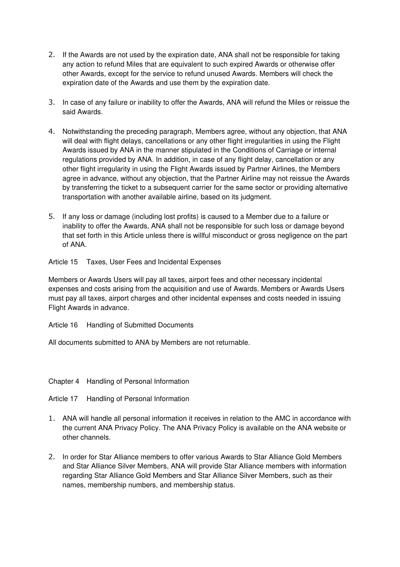- 2. If the Awards are not used by the expiration date, ANA shall not be responsible for taking any action to refund Miles that are equivalent to such expired Awards or otherwise offer other Awards, except for the service to refund unused Awards. Members will check the expiration date of the Awards and use them by the expiration date.
- 3. In case of any failure or inability to offer the Awards, ANA will refund the Miles or reissue the said Awards.
- 4. Notwithstanding the preceding paragraph, Members agree, without any objection, that ANA will deal with flight delays, cancellations or any other flight irregularities in using the Flight Awards issued by ANA in the manner stipulated in the Conditions of Carriage or internal regulations provided by ANA. In addition, in case of any flight delay, cancellation or any other flight irregularity in using the Flight Awards issued by Partner Airlines, the Members agree in advance, without any objection, that the Partner Airline may not reissue the Awards by transferring the ticket to a subsequent carrier for the same sector or providing alternative transportation with another available airline, based on its judgment.
- 5. If any loss or damage (including lost profits) is caused to a Member due to a failure or inability to offer the Awards, ANA shall not be responsible for such loss or damage beyond that set forth in this Article unless there is willful misconduct or gross negligence on the part of ANA.

Article 15 Taxes, User Fees and Incidental Expenses

Members or Awards Users will pay all taxes, airport fees and other necessary incidental expenses and costs arising from the acquisition and use of Awards. Members or Awards Users must pay all taxes, airport charges and other incidental expenses and costs needed in issuing Flight Awards in advance.

Article 16 Handling of Submitted Documents

All documents submitted to ANA by Members are not returnable.

Chapter 4 Handling of Personal Information

Article 17 Handling of Personal Information

- 1. ANA will handle all personal information it receives in relation to the AMC in accordance with the current ANA Privacy Policy. The ANA Privacy Policy is available on the ANA website or other channels.
- 2. In order for Star Alliance members to offer various Awards to Star Alliance Gold Members and Star Alliance Silver Members, ANA will provide Star Alliance members with information regarding Star Alliance Gold Members and Star Alliance Silver Members, such as their names, membership numbers, and membership status.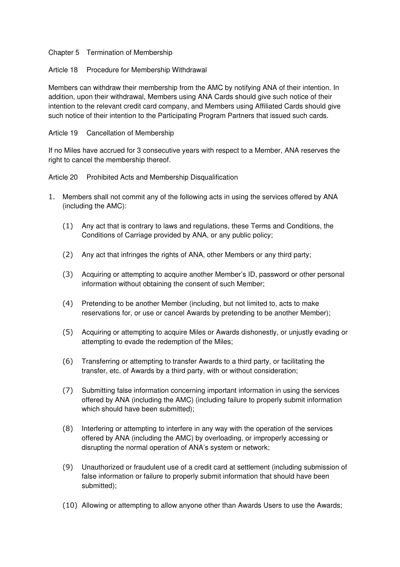Chapter 5 Termination of Membership

Article 18 Procedure for Membership Withdrawal

Members can withdraw their membership from the AMC by notifying ANA of their intention. In addition, upon their withdrawal, Members using ANA Cards should give such notice of their intention to the relevant credit card company, and Members using Affiliated Cards should give such notice of their intention to the Participating Program Partners that issued such cards.

Article 19 Cancellation of Membership

If no Miles have accrued for 3 consecutive years with respect to a Member, ANA reserves the right to cancel the membership thereof.

Article 20 Prohibited Acts and Membership Disqualification

- 1. Members shall not commit any of the following acts in using the services offered by ANA (including the AMC):
	- (1) Any act that is contrary to laws and regulations, these Terms and Conditions, the Conditions of Carriage provided by ANA, or any public policy;
	- (2) Any act that infringes the rights of ANA, other Members or any third party;
	- (3) Acquiring or attempting to acquire another Member's ID, password or other personal information without obtaining the consent of such Member;
	- (4) Pretending to be another Member (including, but not limited to, acts to make reservations for, or use or cancel Awards by pretending to be another Member);
	- (5) Acquiring or attempting to acquire Miles or Awards dishonestly, or unjustly evading or attempting to evade the redemption of the Miles;
	- (6) Transferring or attempting to transfer Awards to a third party, or facilitating the transfer, etc. of Awards by a third party, with or without consideration;
	- (7) Submitting false information concerning important information in using the services offered by ANA (including the AMC) (including failure to properly submit information which should have been submitted);
	- (8) Interfering or attempting to interfere in any way with the operation of the services offered by ANA (including the AMC) by overloading, or improperly accessing or disrupting the normal operation of ANA's system or network;
	- (9) Unauthorized or fraudulent use of a credit card at settlement (including submission of false information or failure to properly submit information that should have been submitted);
	- (10) Allowing or attempting to allow anyone other than Awards Users to use the Awards;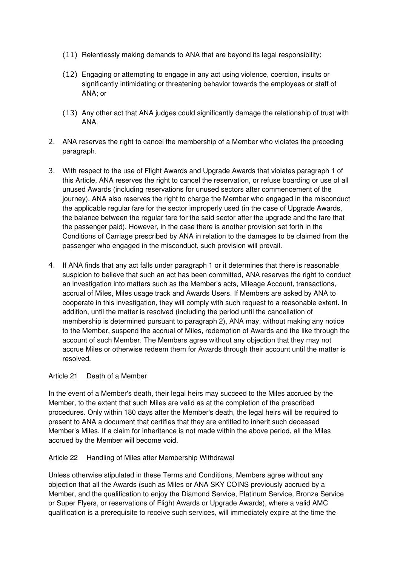- (11) Relentlessly making demands to ANA that are beyond its legal responsibility;
- (12) Engaging or attempting to engage in any act using violence, coercion, insults or significantly intimidating or threatening behavior towards the employees or staff of ANA; or
- (13) Any other act that ANA judges could significantly damage the relationship of trust with ANA.
- 2. ANA reserves the right to cancel the membership of a Member who violates the preceding paragraph.
- 3. With respect to the use of Flight Awards and Upgrade Awards that violates paragraph 1 of this Article, ANA reserves the right to cancel the reservation, or refuse boarding or use of all unused Awards (including reservations for unused sectors after commencement of the journey). ANA also reserves the right to charge the Member who engaged in the misconduct the applicable regular fare for the sector improperly used (in the case of Upgrade Awards, the balance between the regular fare for the said sector after the upgrade and the fare that the passenger paid). However, in the case there is another provision set forth in the Conditions of Carriage prescribed by ANA in relation to the damages to be claimed from the passenger who engaged in the misconduct, such provision will prevail.
- 4. If ANA finds that any act falls under paragraph 1 or it determines that there is reasonable suspicion to believe that such an act has been committed, ANA reserves the right to conduct an investigation into matters such as the Member's acts, Mileage Account, transactions, accrual of Miles, Miles usage track and Awards Users. If Members are asked by ANA to cooperate in this investigation, they will comply with such request to a reasonable extent. In addition, until the matter is resolved (including the period until the cancellation of membership is determined pursuant to paragraph 2), ANA may, without making any notice to the Member, suspend the accrual of Miles, redemption of Awards and the like through the account of such Member. The Members agree without any objection that they may not accrue Miles or otherwise redeem them for Awards through their account until the matter is resolved.

#### Article 21 Death of a Member

In the event of a Member's death, their legal heirs may succeed to the Miles accrued by the Member, to the extent that such Miles are valid as at the completion of the prescribed procedures. Only within 180 days after the Member's death, the legal heirs will be required to present to ANA a document that certifies that they are entitled to inherit such deceased Member's Miles. If a claim for inheritance is not made within the above period, all the Miles accrued by the Member will become void.

Article 22 Handling of Miles after Membership Withdrawal

Unless otherwise stipulated in these Terms and Conditions, Members agree without any objection that all the Awards (such as Miles or ANA SKY COINS previously accrued by a Member, and the qualification to enjoy the Diamond Service, Platinum Service, Bronze Service or Super Flyers, or reservations of Flight Awards or Upgrade Awards), where a valid AMC qualification is a prerequisite to receive such services, will immediately expire at the time the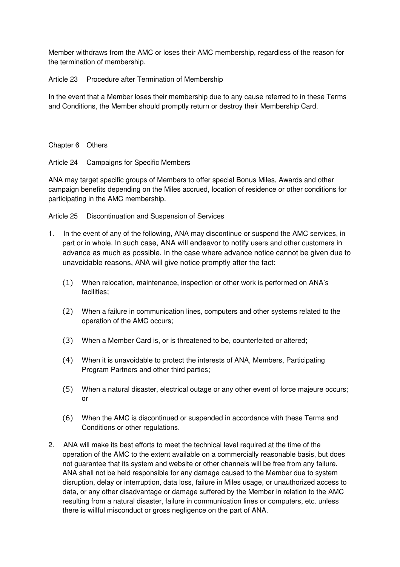Member withdraws from the AMC or loses their AMC membership, regardless of the reason for the termination of membership.

Article 23 Procedure after Termination of Membership

In the event that a Member loses their membership due to any cause referred to in these Terms and Conditions, the Member should promptly return or destroy their Membership Card.

Chapter 6 Others

Article 24 Campaigns for Specific Members

ANA may target specific groups of Members to offer special Bonus Miles, Awards and other campaign benefits depending on the Miles accrued, location of residence or other conditions for participating in the AMC membership.

Article 25 Discontinuation and Suspension of Services

- 1. In the event of any of the following, ANA may discontinue or suspend the AMC services, in part or in whole. In such case, ANA will endeavor to notify users and other customers in advance as much as possible. In the case where advance notice cannot be given due to unavoidable reasons, ANA will give notice promptly after the fact:
	- (1) When relocation, maintenance, inspection or other work is performed on ANA's facilities;
	- (2) When a failure in communication lines, computers and other systems related to the operation of the AMC occurs;
	- (3) When a Member Card is, or is threatened to be, counterfeited or altered;
	- (4) When it is unavoidable to protect the interests of ANA, Members, Participating Program Partners and other third parties;
	- (5) When a natural disaster, electrical outage or any other event of force majeure occurs; or
	- (6) When the AMC is discontinued or suspended in accordance with these Terms and Conditions or other regulations.
- 2. ANA will make its best efforts to meet the technical level required at the time of the operation of the AMC to the extent available on a commercially reasonable basis, but does not guarantee that its system and website or other channels will be free from any failure. ANA shall not be held responsible for any damage caused to the Member due to system disruption, delay or interruption, data loss, failure in Miles usage, or unauthorized access to data, or any other disadvantage or damage suffered by the Member in relation to the AMC resulting from a natural disaster, failure in communication lines or computers, etc. unless there is willful misconduct or gross negligence on the part of ANA.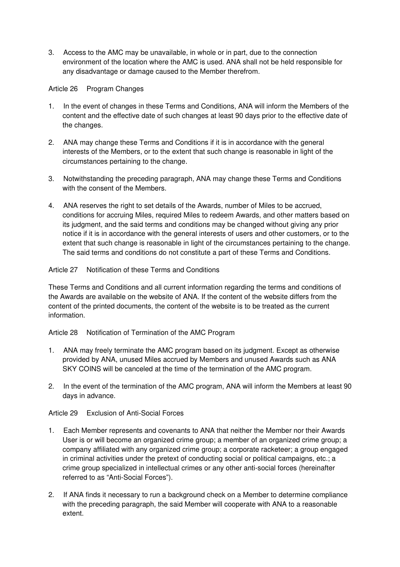3. Access to the AMC may be unavailable, in whole or in part, due to the connection environment of the location where the AMC is used. ANA shall not be held responsible for any disadvantage or damage caused to the Member therefrom.

Article 26 Program Changes

- 1. In the event of changes in these Terms and Conditions, ANA will inform the Members of the content and the effective date of such changes at least 90 days prior to the effective date of the changes.
- 2. ANA may change these Terms and Conditions if it is in accordance with the general interests of the Members, or to the extent that such change is reasonable in light of the circumstances pertaining to the change.
- 3. Notwithstanding the preceding paragraph, ANA may change these Terms and Conditions with the consent of the Members.
- 4. ANA reserves the right to set details of the Awards, number of Miles to be accrued, conditions for accruing Miles, required Miles to redeem Awards, and other matters based on its judgment, and the said terms and conditions may be changed without giving any prior notice if it is in accordance with the general interests of users and other customers, or to the extent that such change is reasonable in light of the circumstances pertaining to the change. The said terms and conditions do not constitute a part of these Terms and Conditions.

# Article 27 Notification of these Terms and Conditions

These Terms and Conditions and all current information regarding the terms and conditions of the Awards are available on the website of ANA. If the content of the website differs from the content of the printed documents, the content of the website is to be treated as the current information.

Article 28 Notification of Termination of the AMC Program

- 1. ANA may freely terminate the AMC program based on its judgment. Except as otherwise provided by ANA, unused Miles accrued by Members and unused Awards such as ANA SKY COINS will be canceled at the time of the termination of the AMC program.
- 2. In the event of the termination of the AMC program, ANA will inform the Members at least 90 days in advance.

Article 29 Exclusion of Anti-Social Forces

- 1. Each Member represents and covenants to ANA that neither the Member nor their Awards User is or will become an organized crime group; a member of an organized crime group; a company affiliated with any organized crime group; a corporate racketeer; a group engaged in criminal activities under the pretext of conducting social or political campaigns, etc.; a crime group specialized in intellectual crimes or any other anti-social forces (hereinafter referred to as "Anti-Social Forces").
- 2. If ANA finds it necessary to run a background check on a Member to determine compliance with the preceding paragraph, the said Member will cooperate with ANA to a reasonable extent.